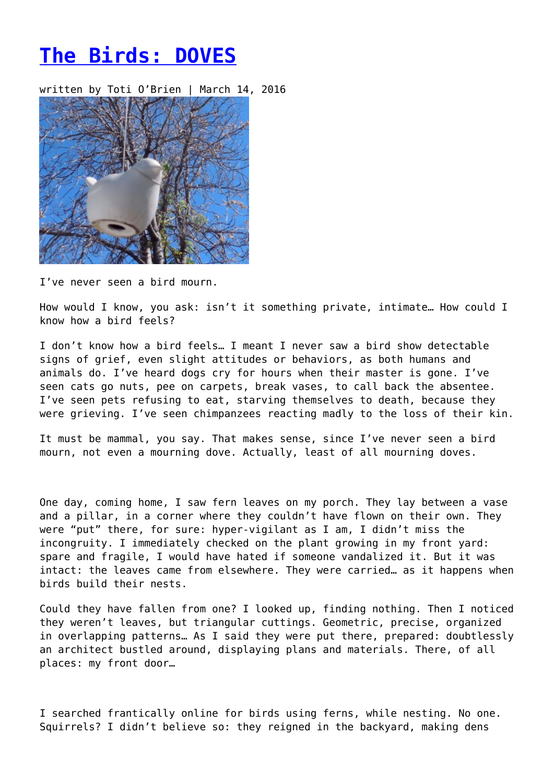## **[The Birds: DOVES](https://entropymag.org/the-birds-doves/)**

written by Toti O'Brien | March 14, 2016



I've never seen a bird mourn.

How would I know, you ask: isn't it something private, intimate… How could I know how a bird feels?

I don't know how a bird feels… I meant I never saw a bird show detectable signs of grief, even slight attitudes or behaviors, as both humans and animals do. I've heard dogs cry for hours when their master is gone. I've seen cats go nuts, pee on carpets, break vases, to call back the absentee. I've seen pets refusing to eat, starving themselves to death, because they were grieving. I've seen chimpanzees reacting madly to the loss of their kin.

It must be mammal, you say. That makes sense, since I've never seen a bird mourn, not even a mourning dove. Actually, least of all mourning doves.

One day, coming home, I saw fern leaves on my porch. They lay between a vase and a pillar, in a corner where they couldn't have flown on their own. They were "put" there, for sure: hyper-vigilant as I am, I didn't miss the incongruity. I immediately checked on the plant growing in my front yard: spare and fragile, I would have hated if someone vandalized it. But it was intact: the leaves came from elsewhere. They were carried… as it happens when birds build their nests.

Could they have fallen from one? I looked up, finding nothing. Then I noticed they weren't leaves, but triangular cuttings. Geometric, precise, organized in overlapping patterns… As I said they were put there, prepared: doubtlessly an architect bustled around, displaying plans and materials. There, of all places: my front door…

I searched frantically online for birds using ferns, while nesting. No one. Squirrels? I didn't believe so: they reigned in the backyard, making dens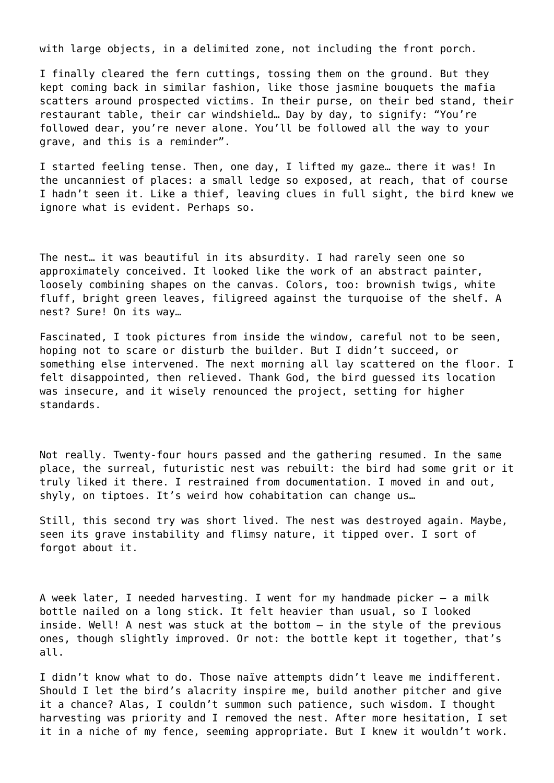with large objects, in a delimited zone, not including the front porch.

I finally cleared the fern cuttings, tossing them on the ground. But they kept coming back in similar fashion, like those jasmine bouquets the mafia scatters around prospected victims. In their purse, on their bed stand, their restaurant table, their car windshield… Day by day, to signify: "You're followed dear, you're never alone. You'll be followed all the way to your grave, and this is a reminder".

I started feeling tense. Then, one day, I lifted my gaze… there it was! In the uncanniest of places: a small ledge so exposed, at reach, that of course I hadn't seen it. Like a thief, leaving clues in full sight, the bird knew we ignore what is evident. Perhaps so.

The nest… it was beautiful in its absurdity. I had rarely seen one so approximately conceived. It looked like the work of an abstract painter, loosely combining shapes on the canvas. Colors, too: brownish twigs, white fluff, bright green leaves, filigreed against the turquoise of the shelf. A nest? Sure! On its way…

Fascinated, I took pictures from inside the window, careful not to be seen, hoping not to scare or disturb the builder. But I didn't succeed, or something else intervened. The next morning all lay scattered on the floor. I felt disappointed, then relieved. Thank God, the bird guessed its location was insecure, and it wisely renounced the project, setting for higher standards.

Not really. Twenty-four hours passed and the gathering resumed. In the same place, the surreal, futuristic nest was rebuilt: the bird had some grit or it truly liked it there. I restrained from documentation. I moved in and out, shyly, on tiptoes. It's weird how cohabitation can change us…

Still, this second try was short lived. The nest was destroyed again. Maybe, seen its grave instability and flimsy nature, it tipped over. I sort of forgot about it.

A week later, I needed harvesting. I went for my handmade picker – a milk bottle nailed on a long stick. It felt heavier than usual, so I looked inside. Well! A nest was stuck at the bottom – in the style of the previous ones, though slightly improved. Or not: the bottle kept it together, that's all.

I didn't know what to do. Those naïve attempts didn't leave me indifferent. Should I let the bird's alacrity inspire me, build another pitcher and give it a chance? Alas, I couldn't summon such patience, such wisdom. I thought harvesting was priority and I removed the nest. After more hesitation, I set it in a niche of my fence, seeming appropriate. But I knew it wouldn't work.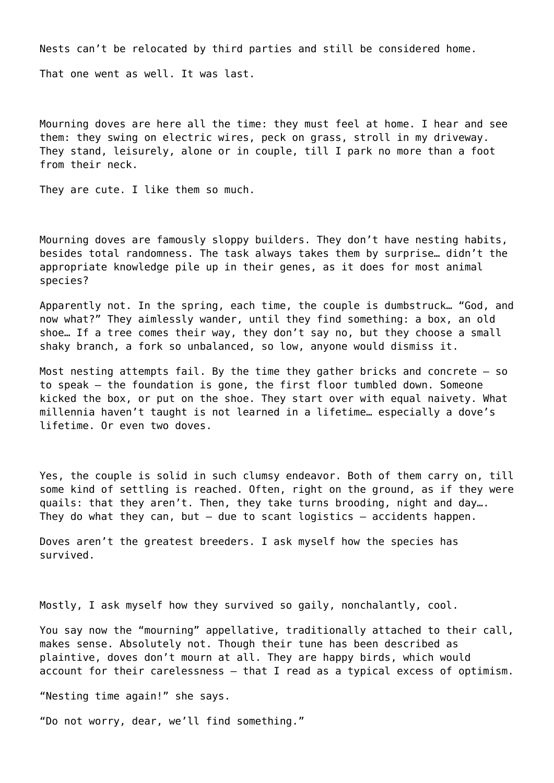Nests can't be relocated by third parties and still be considered home.

That one went as well. It was last.

Mourning doves are here all the time: they must feel at home. I hear and see them: they swing on electric wires, peck on grass, stroll in my driveway. They stand, leisurely, alone or in couple, till I park no more than a foot from their neck.

They are cute. I like them so much.

Mourning doves are famously sloppy builders. They don't have nesting habits, besides total randomness. The task always takes them by surprise… didn't the appropriate knowledge pile up in their genes, as it does for most animal species?

Apparently not. In the spring, each time, the couple is dumbstruck… "God, and now what?" They aimlessly wander, until they find something: a box, an old shoe… If a tree comes their way, they don't say no, but they choose a small shaky branch, a fork so unbalanced, so low, anyone would dismiss it.

Most nesting attempts fail. By the time they gather bricks and concrete – so to speak – the foundation is gone, the first floor tumbled down. Someone kicked the box, or put on the shoe. They start over with equal naivety. What millennia haven't taught is not learned in a lifetime… especially a dove's lifetime. Or even two doves.

Yes, the couple is solid in such clumsy endeavor. Both of them carry on, till some kind of settling is reached. Often, right on the ground, as if they were quails: that they aren't. Then, they take turns brooding, night and day…. They do what they can, but  $-$  due to scant logistics  $-$  accidents happen.

Doves aren't the greatest breeders. I ask myself how the species has survived.

Mostly, I ask myself how they survived so gaily, nonchalantly, cool.

You say now the "mourning" appellative, traditionally attached to their call, makes sense. Absolutely not. Though their tune has been described as plaintive, doves don't mourn at all. They are happy birds, which would account for their carelessness – that I read as a typical excess of optimism.

"Nesting time again!" she says.

"Do not worry, dear, we'll find something."